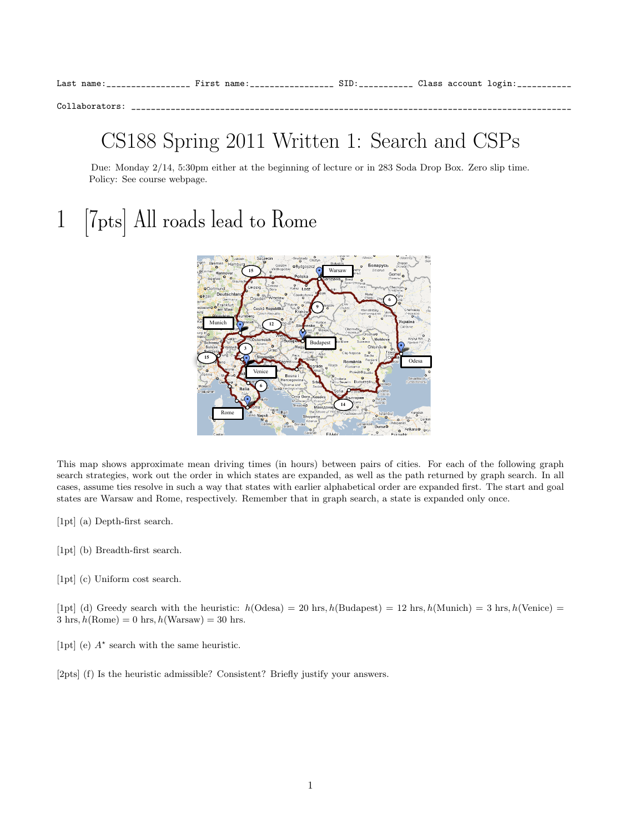Collaborators: \_\_

### CS188 Spring 2011 Written 1: Search and CSPs

Due: Monday 2/14, 5:30pm either at the beginning of lecture or in 283 Soda Drop Box. Zero slip time. Policy: See course webpage.

# 1 [7pts] All roads lead to Rome



This map shows approximate mean driving times (in hours) between pairs of cities. For each of the following graph search strategies, work out the order in which states are expanded, as well as the path returned by graph search. In all cases, assume ties resolve in such a way that states with earlier alphabetical order are expanded first. The start and goal states are Warsaw and Rome, respectively. Remember that in graph search, a state is expanded only once.

- [1pt] (a) Depth-first search.
- [1pt] (b) Breadth-first search.
- [1pt] (c) Uniform cost search.

[1pt] (d) Greedy search with the heuristic:  $h(\text{Odesa}) = 20 \text{ hrs}, h(\text{Budapest}) = 12 \text{ hrs}, h(\text{Munich}) = 3 \text{ hrs}, h(\text{Venice}) =$  $3 \text{ hrs}, h(\text{Rome}) = 0 \text{ hrs}, h(\text{Warsaw}) = 30 \text{ hrs}.$ 

- [1pt] (e)  $A^*$  search with the same heuristic.
- [2pts] (f) Is the heuristic admissible? Consistent? Briefly justify your answers.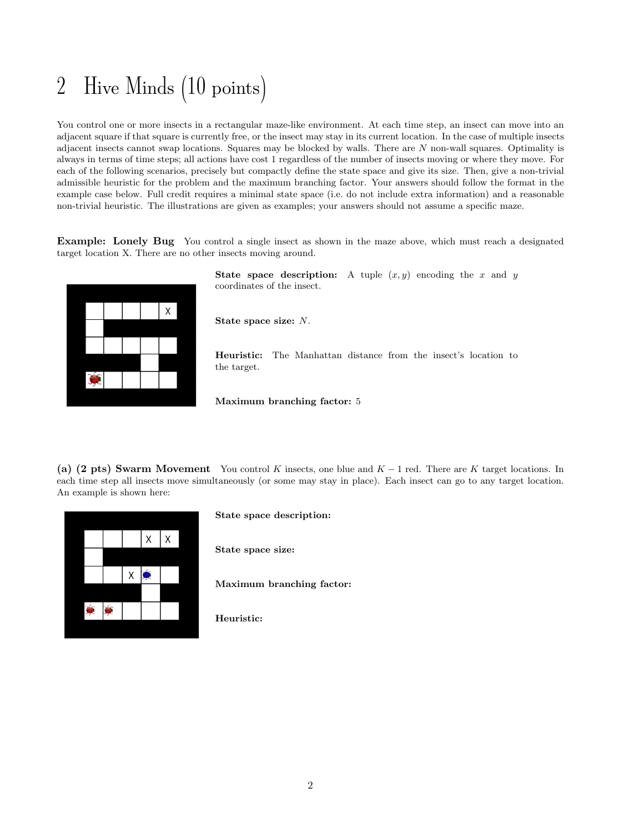# 2 Hive Minds (10 points)

You control one or more insects in a rectangular maze-like environment. At each time step, an insect can move into an adjacent square if that square is currently free, or the insect may stay in its current location. In the case of multiple insects adjacent insects cannot swap locations. Squares may be blocked by walls. There are N non-wall squares. Optimality is always in terms of time steps; all actions have cost 1 regardless of the number of insects moving or where they move. For each of the following scenarios, precisely but compactly define the state space and give its size. Then, give a non-trivial admissible heuristic for the problem and the maximum branching factor. Your answers should follow the format in the example case below. Full credit requires a minimal state space (i.e. do not include extra information) and a reasonable non-trivial heuristic. The illustrations are given as examples; your answers should not assume a specific maze.

Example: Lonely Bug You control a single insect as shown in the maze above, which must reach a designated target location X. There are no other insects moving around.



State space description: A tuple  $(x, y)$  encoding the x and y coordinates of the insect.

State space size: N.

Heuristic: The Manhattan distance from the insect's location to the target.

Maximum branching factor: 5

(a) (2 pts) Swarm Movement You control K insects, one blue and  $K - 1$  red. There are K target locations. In each time step all insects move simultaneously (or some may stay in place). Each insect can go to any target location. An example is shown here:



#### State space description:

State space size:

Maximum branching factor:

Heuristic: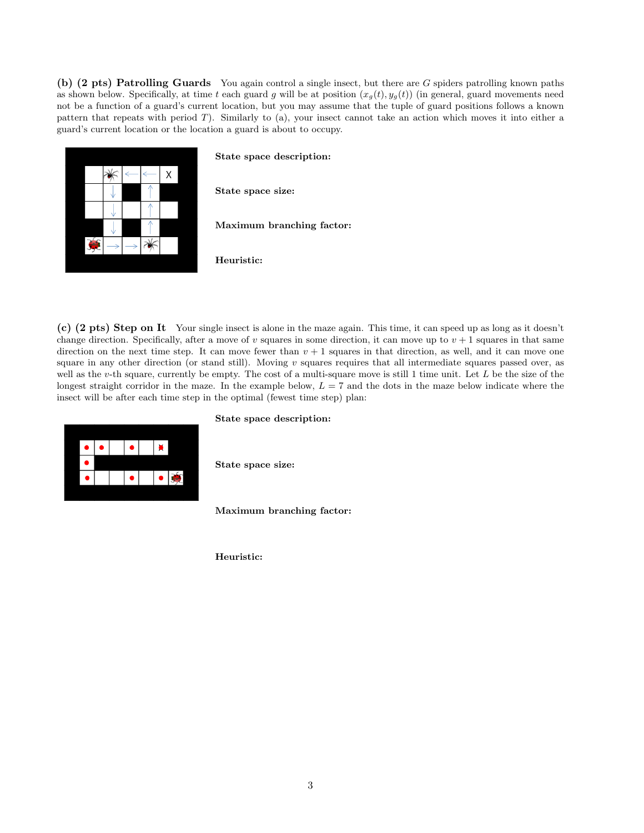(b) (2 pts) Patrolling Guards You again control a single insect, but there are G spiders patrolling known paths as shown below. Specifically, at time t each guard g will be at position  $(x_g(t), y_g(t))$  (in general, guard movements need not be a function of a guard's current location, but you may assume that the tuple of guard positions follows a known pattern that repeats with period T). Similarly to (a), your insect cannot take an action which moves it into either a guard's current location or the location a guard is about to occupy.



### State space description:

State space size:

Maximum branching factor:

Heuristic:

(c) (2 pts) Step on It Your single insect is alone in the maze again. This time, it can speed up as long as it doesn't change direction. Specifically, after a move of v squares in some direction, it can move up to  $v + 1$  squares in that same direction on the next time step. It can move fewer than  $v + 1$  squares in that direction, as well, and it can move one square in any other direction (or stand still). Moving  $v$  squares requires that all intermediate squares passed over, as well as the v-th square, currently be empty. The cost of a multi-square move is still 1 time unit. Let  $L$  be the size of the longest straight corridor in the maze. In the example below,  $L = 7$  and the dots in the maze below indicate where the insect will be after each time step in the optimal (fewest time step) plan:



#### State space description:

State space size:

Maximum branching factor:

Heuristic: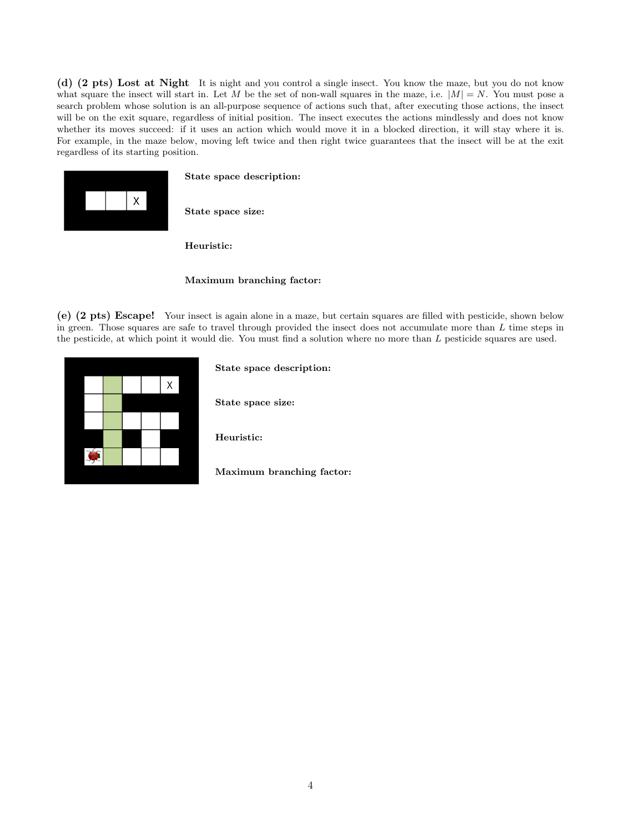(d) (2 pts) Lost at Night It is night and you control a single insect. You know the maze, but you do not know what square the insect will start in. Let M be the set of non-wall squares in the maze, i.e.  $|M| = N$ . You must pose a search problem whose solution is an all-purpose sequence of actions such that, after executing those actions, the insect will be on the exit square, regardless of initial position. The insect executes the actions mindlessly and does not know whether its moves succeed: if it uses an action which would move it in a blocked direction, it will stay where it is. For example, in the maze below, moving left twice and then right twice guarantees that the insect will be at the exit regardless of its starting position.



State space description:

State space size:

Heuristic:

#### Maximum branching factor:

(e) (2 pts) Escape! Your insect is again alone in a maze, but certain squares are filled with pesticide, shown below in green. Those squares are safe to travel through provided the insect does not accumulate more than  $L$  time steps in the pesticide, at which point it would die. You must find a solution where no more than L pesticide squares are used.



State space description:

State space size:

Heuristic:

Maximum branching factor: